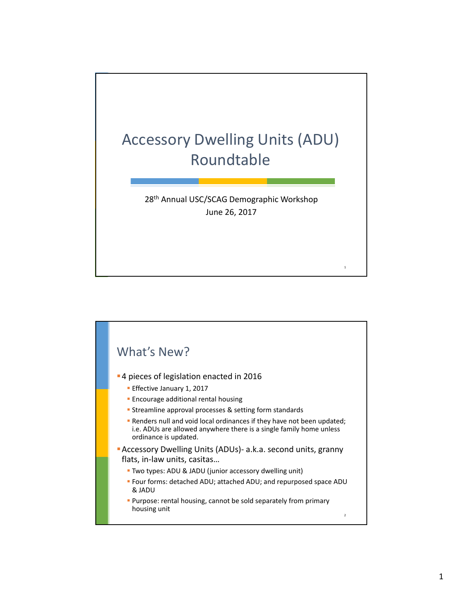

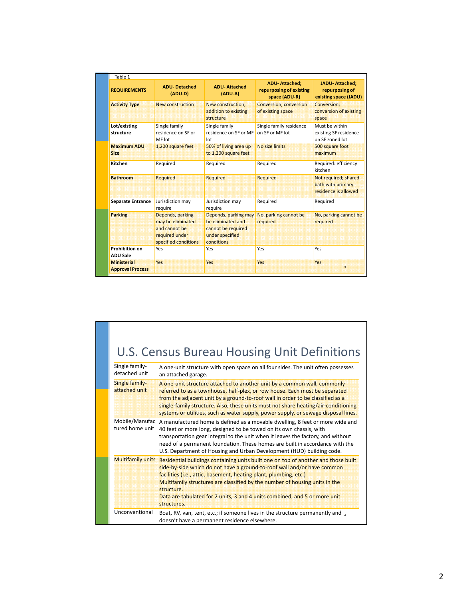| Table 1<br><b>REQUIREMENTS</b>                | <b>ADU-Detached</b><br>(ADU-D)                                                                   | <b>ADU-Attached</b><br>(ADU-A)                                                                   | <b>ADU-Attached:</b><br>repurposing of existing<br>space (ADU-R) | <b>JADU-Attached:</b><br>repurposing of<br>existing space (JADU)  |
|-----------------------------------------------|--------------------------------------------------------------------------------------------------|--------------------------------------------------------------------------------------------------|------------------------------------------------------------------|-------------------------------------------------------------------|
| <b>Activity Type</b>                          | New construction                                                                                 | New construction;<br>addition to existing<br>structure                                           | <b>Conversion; conversion</b><br>of existing space               | Conversion:<br>conversion of existing<br>space                    |
| Lot/existing<br>structure                     | Single family<br>residence on SF or<br>MF lot                                                    | Single family<br>residence on SF or MF<br>Int                                                    | Single family residence<br>on SF or MF lot                       | Must be within<br>existing SF residence<br>on SF zoned lot        |
| <b>Maximum ADU</b><br><b>Size</b>             | 1,200 square feet                                                                                | 50% of living area up<br>to 1,200 square feet                                                    | No size limits                                                   | 500 square foot<br>maximum                                        |
| Kitchen                                       | Required                                                                                         | Required                                                                                         | Required                                                         | Required: efficiency<br>kitchen                                   |
| <b>Bathroom</b>                               | <b>Required</b>                                                                                  | <b>Required</b>                                                                                  | <b>Required</b>                                                  | Not required; shared<br>bath with primary<br>residence is allowed |
| <b>Separate Entrance</b>                      | Jurisdiction may<br>require                                                                      | Jurisdiction may<br>require                                                                      | Required                                                         | Required                                                          |
| <b>Parking</b>                                | Depends, parking<br>may be eliminated<br>and cannot be<br>required under<br>specified conditions | Depends, parking may<br>be eliminated and<br>cannot be required<br>under specified<br>conditions | No, parking cannot be<br>required                                | No, parking cannot be<br>required                                 |
| <b>Prohibition on</b><br><b>ADU Sale</b>      | Yes                                                                                              | Yes                                                                                              | Yes                                                              | Yes                                                               |
| <b>Ministerial</b><br><b>Approval Process</b> | Yes                                                                                              | Yes                                                                                              | <b>Yes</b>                                                       | Yes<br>$\overline{3}$                                             |

| Single family-<br>detached unit   | U.S. Census Bureau Housing Unit Definitions<br>A one-unit structure with open space on all four sides. The unit often possesses<br>an attached garage.                                                                                                                                                                                                                                                                       |
|-----------------------------------|------------------------------------------------------------------------------------------------------------------------------------------------------------------------------------------------------------------------------------------------------------------------------------------------------------------------------------------------------------------------------------------------------------------------------|
| Single family-<br>attached unit   | A one-unit structure attached to another unit by a common wall, commonly<br>referred to as a townhouse, half-plex, or row house. Each must be separated<br>from the adjacent unit by a ground-to-roof wall in order to be classified as a<br>single-family structure. Also, these units must not share heating/air-conditioning<br>systems or utilities, such as water supply, power supply, or sewage disposal lines.       |
| Mobile/Manufac<br>tured home unit | A manufactured home is defined as a movable dwelling, 8 feet or more wide and<br>40 feet or more long, designed to be towed on its own chassis, with<br>transportation gear integral to the unit when it leaves the factory, and without<br>need of a permanent foundation. These homes are built in accordance with the<br>U.S. Department of Housing and Urban Development (HUD) building code.                            |
| <b>Multifamily units</b>          | Residential buildings containing units built one on top of another and those built<br>side-by-side which do not have a ground-to-roof wall and/or have common<br>facilities (i.e., attic, basement, heating plant, plumbing, etc.)<br>Multifamily structures are classified by the number of housing units in the<br>structure.<br>Data are tabulated for 2 units, 3 and 4 units combined, and 5 or more unit<br>structures. |
| Unconventional                    | Boat, RV, van, tent, etc.; if someone lives in the structure permanently and $\alpha$<br>doesn't have a permanent residence elsewhere.                                                                                                                                                                                                                                                                                       |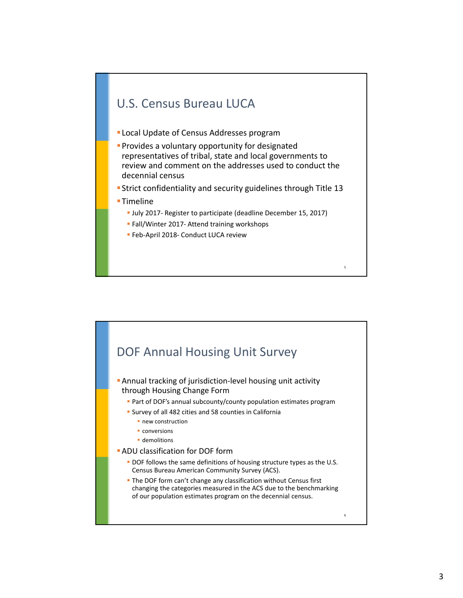## U.S. Census Bureau LUCA

- Local Update of Census Addresses program
- **Provides a voluntary opportunity for designated** representatives of tribal, state and local governments to review and comment on the addresses used to conduct the decennial census
- Strict confidentiality and security guidelines through Title 13
- ■Timeline
	- July 2017‐ Register to participate (deadline December 15, 2017)

- Fall/Winter 2017- Attend training workshops
- Feb-April 2018- Conduct LUCA review

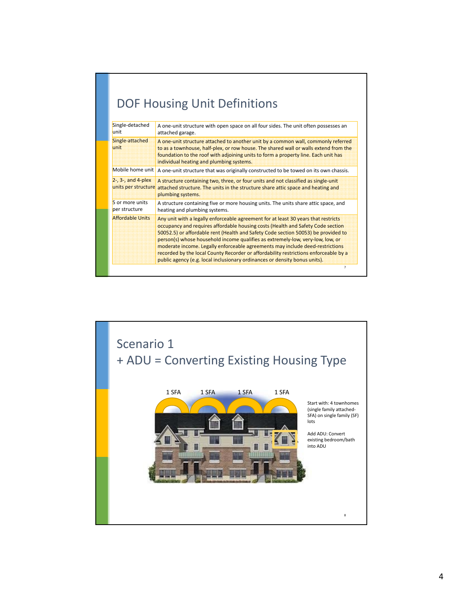| Single-detached<br>lunit                           | A one-unit structure with open space on all four sides. The unit often possesses an<br>attached garage.                                                                                                                                                                                                                                                                                                                                                                                                                                                                                             |
|----------------------------------------------------|-----------------------------------------------------------------------------------------------------------------------------------------------------------------------------------------------------------------------------------------------------------------------------------------------------------------------------------------------------------------------------------------------------------------------------------------------------------------------------------------------------------------------------------------------------------------------------------------------------|
| Single-attached<br>unit                            | A one-unit structure attached to another unit by a common wall, commonly referred<br>to as a townhouse, half-plex, or row house. The shared wall or walls extend from the<br>foundation to the roof with adjoining units to form a property line. Each unit has<br>individual heating and plumbing systems.                                                                                                                                                                                                                                                                                         |
| Mobile home unit                                   | A one-unit structure that was originally constructed to be towed on its own chassis.                                                                                                                                                                                                                                                                                                                                                                                                                                                                                                                |
| $2-$ , $3-$ , and $4$ -plex<br>units per structure | A structure containing two, three, or four units and not classified as single-unit<br>attached structure. The units in the structure share attic space and heating and<br>plumbing systems.                                                                                                                                                                                                                                                                                                                                                                                                         |
| 5 or more units<br>per structure                   | A structure containing five or more housing units. The units share attic space, and<br>heating and plumbing systems.                                                                                                                                                                                                                                                                                                                                                                                                                                                                                |
| <b>Affordable Units</b>                            | Any unit with a legally enforceable agreement for at least 30 years that restricts<br>occupancy and requires affordable housing costs (Health and Safety Code section<br>50052.5) or affordable rent (Health and Safety Code section 50053) be provided to<br>person(s) whose household income qualifies as extremely-low, very-low, low, or<br>moderate income. Legally enforceable agreements may include deed-restrictions<br>recorded by the local County Recorder or affordability restrictions enforceable by a<br>public agency (e.g. local inclusionary ordinances or density bonus units). |

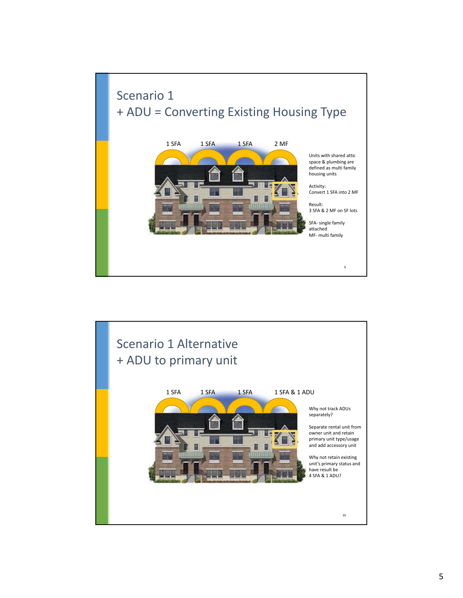

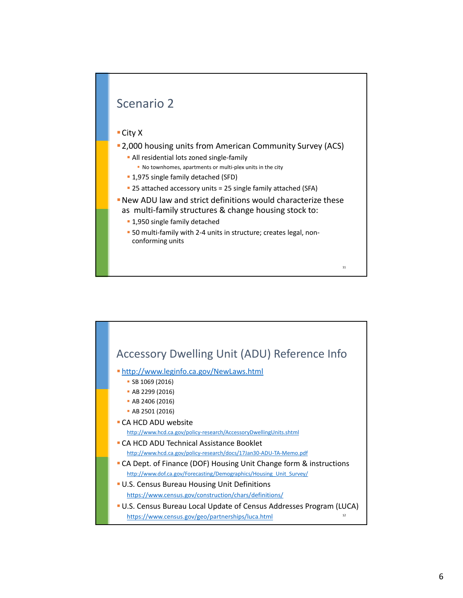## Scenario 2

## City X

- 2,000 housing units from American Community Survey (ACS)
	- All residential lots zoned single-family
		- No townhomes, apartments or multi-plex units in the city
	- 1,975 single family detached (SFD)
	- 25 attached accessory units = 25 single family attached (SFA)
- New ADU law and strict definitions would characterize these as multi-family structures & change housing stock to:

- **1,950 single family detached**
- 50 multi-family with 2-4 units in structure; creates legal, nonconforming units